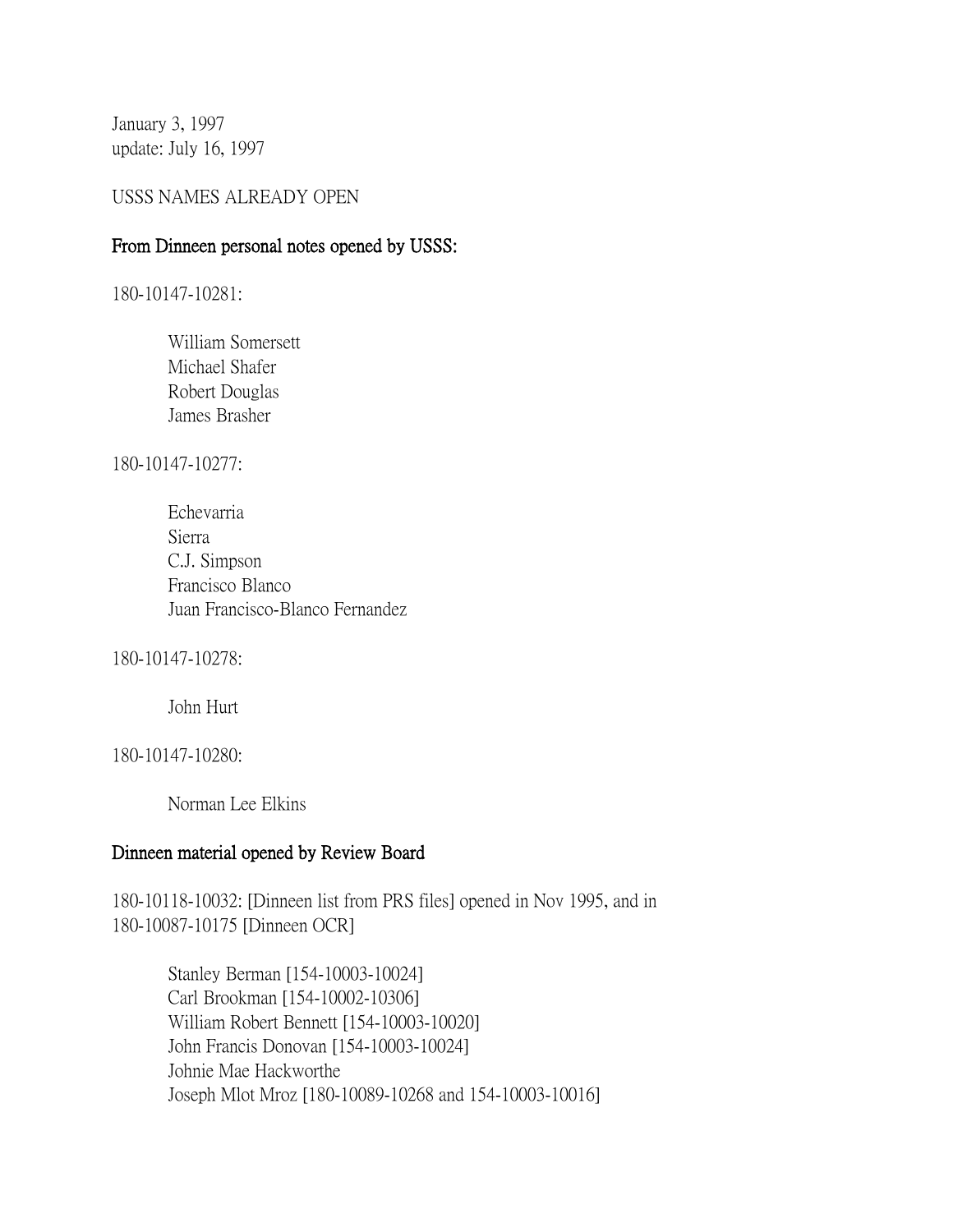January 3, 1997 update: July 16, 1997

## USSS NAMES ALREADY OPEN

#### From Dinneen personal notes opened by USSS:

180-10147-10281:

William Somersett Michael Shafer Robert Douglas James Brasher

180-10147-10277:

Echevarria Sierra C.J. Simpson Francisco Blanco Juan Francisco-Blanco Fernandez

180-10147-10278:

John Hurt

180-10147-10280:

Norman Lee Elkins

## Dinneen material opened by Review Board

180-10118-10032: [Dinneen list from PRS files] opened in Nov 1995, and in 180-10087-10175 [Dinneen OCR]

> Stanley Berman [154-10003-10024] Carl Brookman [154-10002-10306] William Robert Bennett [154-10003-10020] John Francis Donovan [154-10003-10024] Johnie Mae Hackworthe Joseph Mlot Mroz [180-10089-10268 and 154-10003-10016]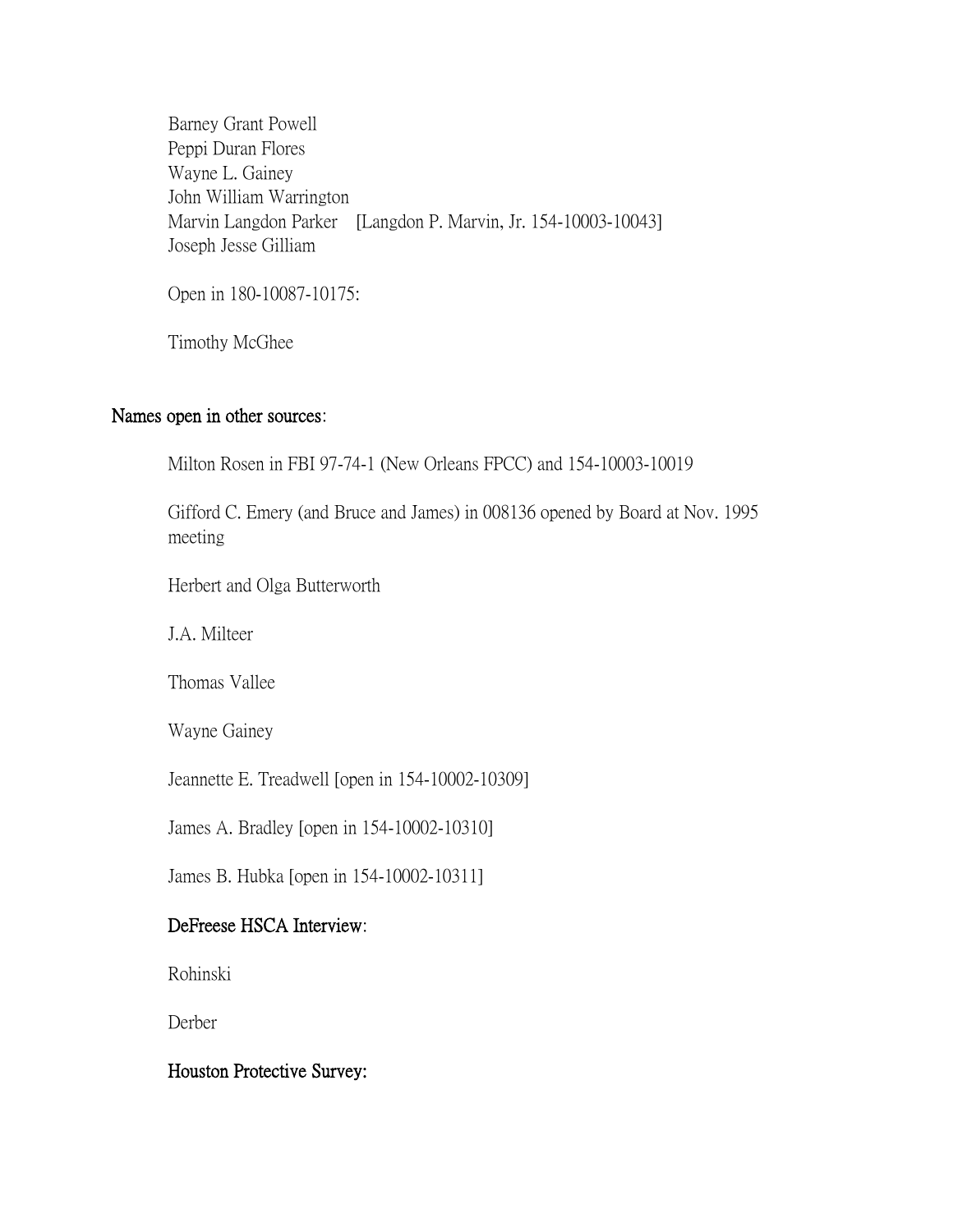Barney Grant Powell Peppi Duran Flores Wayne L. Gainey John William Warrington Marvin Langdon Parker [Langdon P. Marvin, Jr. 154-10003-10043] Joseph Jesse Gilliam

Open in 180-10087-10175:

Timothy McGhee

#### Names open in other sources:

Milton Rosen in FBI 97-74-1 (New Orleans FPCC) and 154-10003-10019

Gifford C. Emery (and Bruce and James) in 008136 opened by Board at Nov. 1995 meeting

Herbert and Olga Butterworth

J.A. Milteer

Thomas Vallee

Wayne Gainey

Jeannette E. Treadwell [open in 154-10002-10309]

James A. Bradley [open in 154-10002-10310]

James B. Hubka [open in 154-10002-10311]

## DeFreese HSCA Interview:

Rohinski

Derber

## Houston Protective Survey: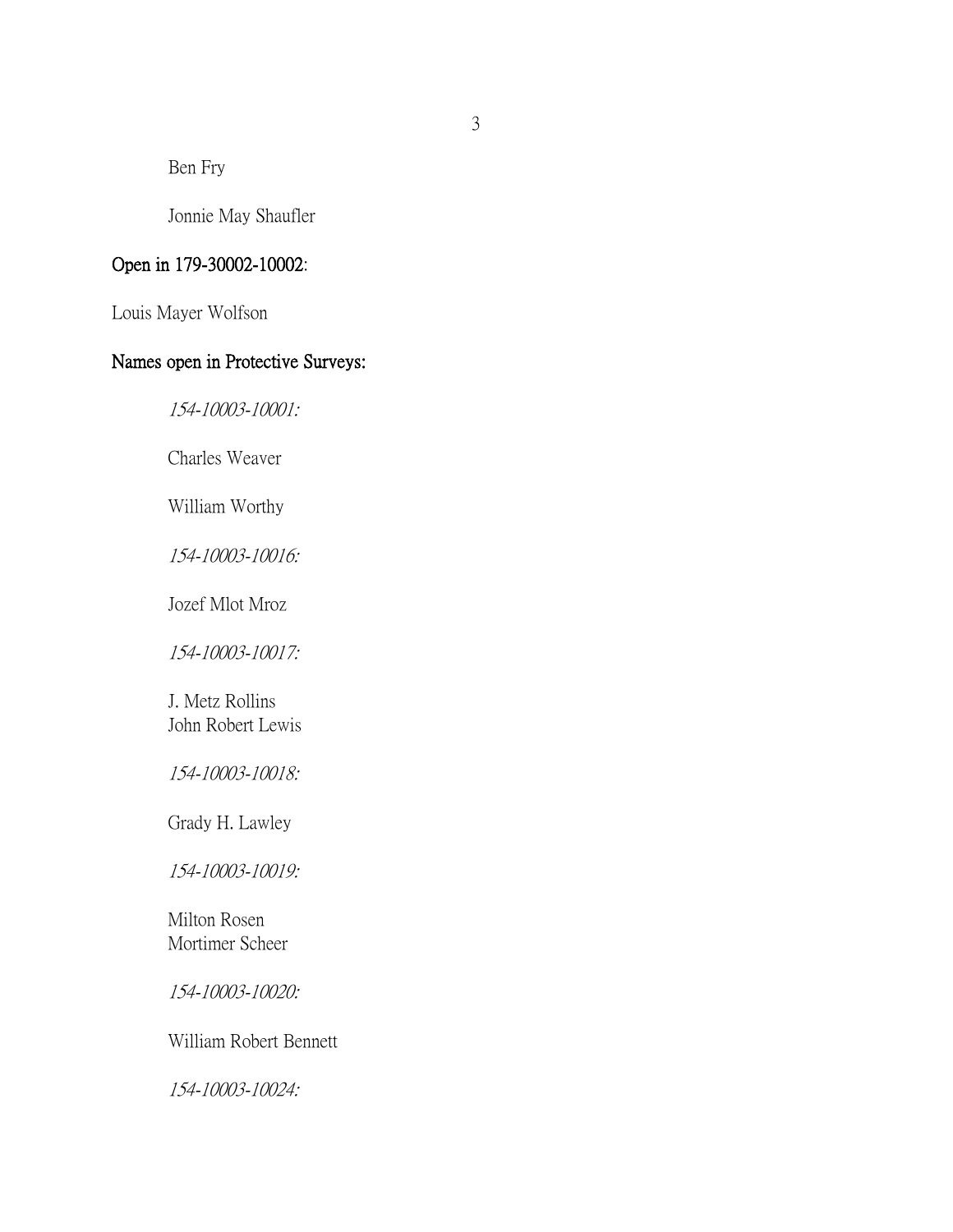Ben Fry

Jonnie May Shaufler

## Open in 179-30002-10002:

Louis Mayer Wolfson

# Names open in Protective Surveys:

154-10003-10001:

Charles Weaver

William Worthy

154-10003-10016:

Jozef Mlot Mroz

154-10003-10017:

J. Metz Rollins John Robert Lewis

154-10003-10018:

Grady H. Lawley

154-10003-10019:

Milton Rosen Mortimer Scheer

154-10003-10020:

William Robert Bennett

154-10003-10024: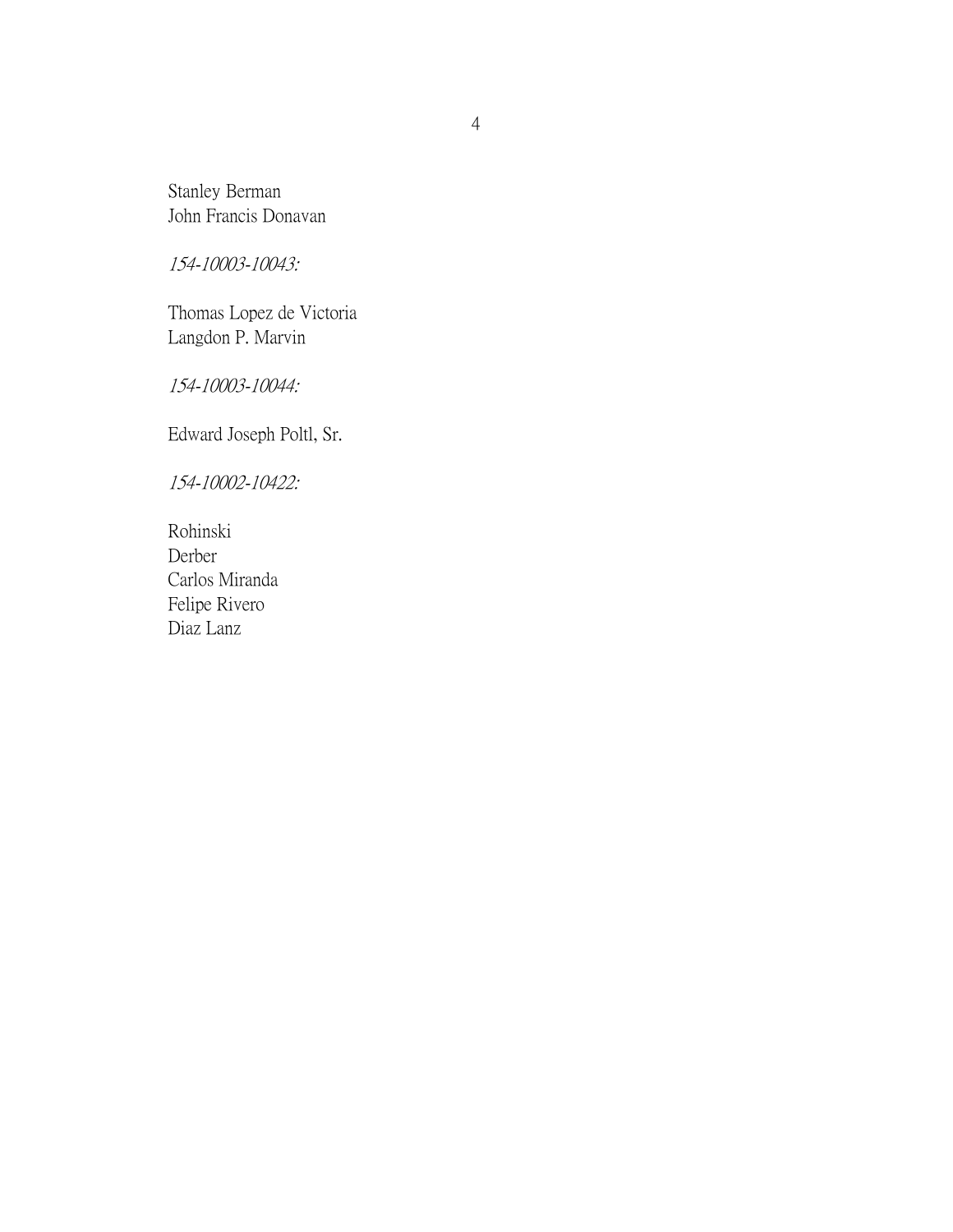Stanley Berman John Francis Donavan

154-10003-10043:

Thomas Lopez de Victoria Langdon P. Marvin

154-10003-10044:

Edward Joseph Poltl, Sr.

154-10002-10422:

Rohinski Derber Carlos Miranda Felipe Rivero Diaz Lanz